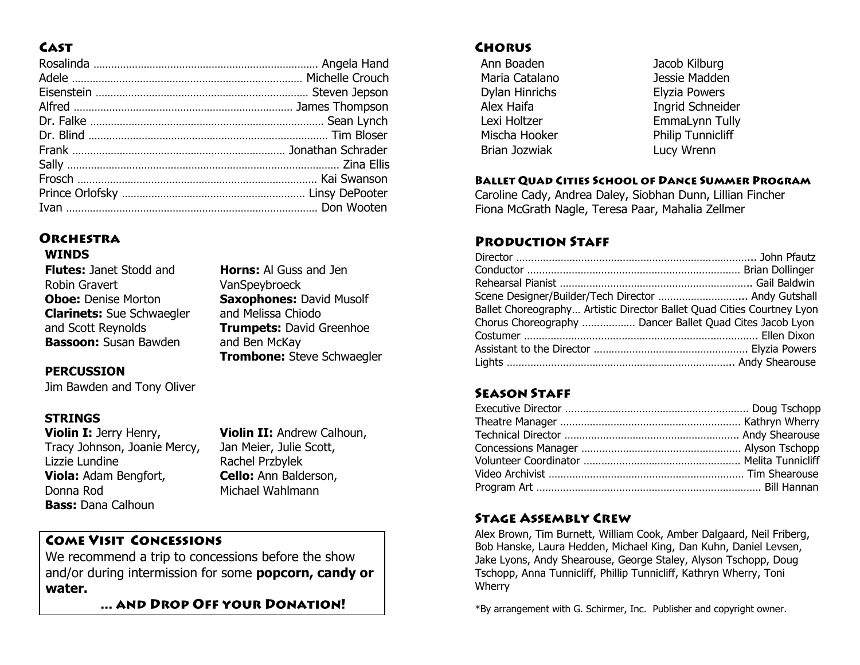# **CAST**

# **ORCHESTRA**

## **WINDS**

| <b>Flutes:</b> Janet Stodd and   |  |  |
|----------------------------------|--|--|
| Robin Gravert                    |  |  |
| <b>Oboe: Denise Morton</b>       |  |  |
| <b>Clarinets:</b> Sue Schwaegler |  |  |
| and Scott Reynolds               |  |  |
| <b>Bassoon:</b> Susan Bawden     |  |  |

**Horns:** Al Guss and Jen VanSpeybroeck **Saxophones:** David Musolf and Melissa Chiodo **Trumpets:** David Greenhoe and Ben McKay **Trombone:** Steve Schwaegler

### **PERCUSSION**

Jim Bawden and Tony Oliver

# **STRINGS**

**Violin I:** Jerry Henry, Tracy Johnson, Joanie Mercy, Lizzie Lundine **Viola:** Adam Bengfort, Donna Rod **Bass:** Dana Calhoun

**Violin II:** Andrew Calhoun, Jan Meier, Julie Scott, Rachel Przbylek **Cello:** Ann Balderson, Michael Wahlmann

# **COME VISIT CONCESSIONS**

We recommend a trip to concessions before the show and/or during intermission for some **popcorn, candy or water.**

... AND DROP OFF YOUR DONATION!

# **CHORUS**

Ann Boaden Maria Catalano Dylan Hinrichs Alex Haifa Lexi Holtzer Mischa Hooker Brian Jozwiak

Jacob Kilburg Jessie Madden Elyzia Powers Ingrid Schneider EmmaLynn Tully Philip Tunnicliff Lucy Wrenn

#### **BALLET QUAD CITIES SCHOOL OF DANCE SUMMER PROGRAM**

Caroline Cady, Andrea Daley, Siobhan Dunn, Lillian Fincher Fiona McGrath Nagle, Teresa Paar, Mahalia Zellmer

## **PRODUCTION STAFF**

| Scene Designer/Builder/Tech Director  Andy Gutshall                    |  |
|------------------------------------------------------------------------|--|
| Ballet Choreography Artistic Director Ballet Quad Cities Courtney Lyon |  |
| Chorus Choreography  Dancer Ballet Quad Cites Jacob Lyon               |  |
|                                                                        |  |
|                                                                        |  |
|                                                                        |  |

# **SEASON STAFF**

#### **STAGE ASSEMBLY CREW**

Alex Brown, Tim Burnett, William Cook, Amber Dalgaard, Neil Friberg, Bob Hanske, Laura Hedden, Michael King, Dan Kuhn, Daniel Levsen, Jake Lyons, Andy Shearouse, George Staley, Alyson Tschopp, Doug Tschopp, Anna Tunnicliff, Phillip Tunnicliff, Kathryn Wherry, Toni Wherry

\*By arrangement with G. Schirmer, Inc. Publisher and copyright owner.